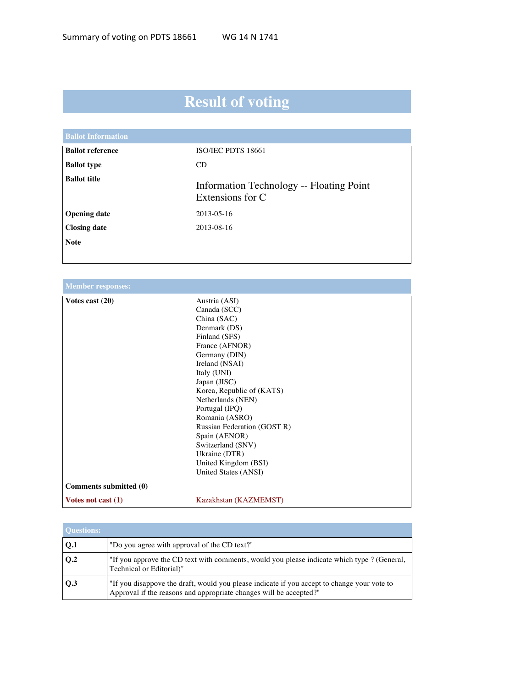## **Result of voting**

| <b>Ballot Information</b> |                                                              |
|---------------------------|--------------------------------------------------------------|
| <b>Ballot reference</b>   | ISO/IEC PDTS 18661                                           |
| <b>Ballot type</b>        | CD                                                           |
| <b>Ballot title</b>       | Information Technology -- Floating Point<br>Extensions for C |
| <b>Opening date</b>       | 2013-05-16                                                   |
| <b>Closing date</b>       | 2013-08-16                                                   |
| <b>Note</b>               |                                                              |
|                           |                                                              |

| <b>Member responses:</b> |                                                                                                                                                                                                                                                                                                                                                                                               |
|--------------------------|-----------------------------------------------------------------------------------------------------------------------------------------------------------------------------------------------------------------------------------------------------------------------------------------------------------------------------------------------------------------------------------------------|
| Votes cast $(20)$        | Austria (ASI)<br>Canada (SCC)<br>China (SAC)<br>Denmark (DS)<br>Finland (SFS)<br>France (AFNOR)<br>Germany (DIN)<br>Ireland (NSAI)<br>Italy (UNI)<br>Japan (JISC)<br>Korea, Republic of (KATS)<br>Netherlands (NEN)<br>Portugal (IPQ)<br>Romania (ASRO)<br>Russian Federation (GOST R)<br>Spain (AENOR)<br>Switzerland (SNV)<br>Ukraine (DTR)<br>United Kingdom (BSI)<br>United States (ANSI) |
| Comments submitted (0)   |                                                                                                                                                                                                                                                                                                                                                                                               |
| Votes not cast $(1)$     | Kazakhstan (KAZMEMST)                                                                                                                                                                                                                                                                                                                                                                         |

| <b>Ouestions:</b> |                                                                                                                                                                   |
|-------------------|-------------------------------------------------------------------------------------------------------------------------------------------------------------------|
| Q.1               | "Do you agree with approval of the CD text?"                                                                                                                      |
| $\bf{O.2}$        | "If you approve the CD text with comments, would you please indicate which type ? (General,<br>Technical or Editorial)"                                           |
| 0.3               | "If you disappove the draft, would you please indicate if you accept to change your vote to<br>Approval if the reasons and appropriate changes will be accepted?" |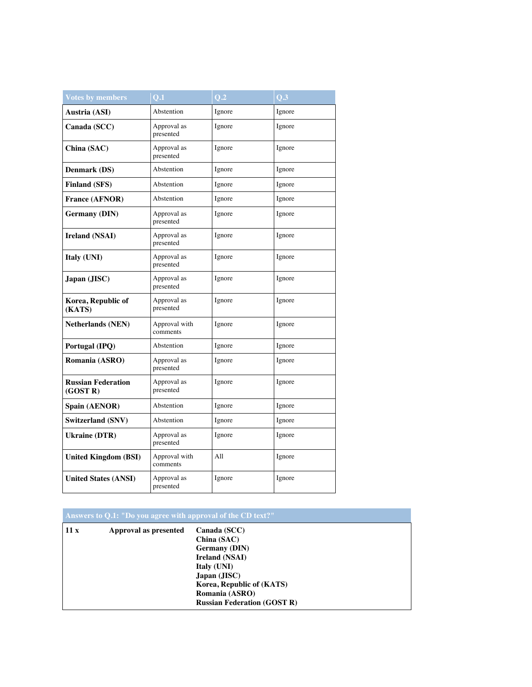| <b>Votes by members</b>               | $\overline{\mathbf{Q.1}}$ | Q.2    | $Q.\overline{3}$ |
|---------------------------------------|---------------------------|--------|------------------|
| Austria (ASI)                         | Abstention                | Ignore | Ignore           |
| Canada (SCC)                          | Approval as<br>presented  | Ignore | Ignore           |
| China (SAC)                           | Approval as<br>presented  | Ignore | Ignore           |
| Denmark (DS)                          | Abstention                | Ignore | Ignore           |
| <b>Finland (SFS)</b>                  | Abstention                | Ignore | Ignore           |
| <b>France (AFNOR)</b>                 | Abstention                | Ignore | Ignore           |
| <b>Germany (DIN)</b>                  | Approval as<br>presented  | Ignore | Ignore           |
| <b>Ireland (NSAI)</b>                 | Approval as<br>presented  | Ignore | Ignore           |
| Italy (UNI)                           | Approval as<br>presented  | Ignore | Ignore           |
| Japan (JISC)                          | Approval as<br>presented  | Ignore | Ignore           |
| Korea, Republic of<br>(KATS)          | Approval as<br>presented  | Ignore | Ignore           |
| <b>Netherlands (NEN)</b>              | Approval with<br>comments | Ignore | Ignore           |
| Portugal (IPQ)                        | Abstention                | Ignore | Ignore           |
| Romania (ASRO)                        | Approval as<br>presented  | Ignore | Ignore           |
| <b>Russian Federation</b><br>(GOST R) | Approval as<br>presented  | Ignore | Ignore           |
| Spain (AENOR)                         | Abstention                | Ignore | Ignore           |
| Switzerland (SNV)                     | Abstention                | Ignore | Ignore           |
| <b>Ukraine (DTR)</b>                  | Approval as<br>presented  | Ignore | Ignore           |
| <b>United Kingdom (BSI)</b>           | Approval with<br>comments | All    | Ignore           |
| <b>United States (ANSI)</b>           | Approval as<br>presented  | Ignore | Ignore           |

| Answers to Q.1: "Do you agree with approval of the CD text?" |                       |                                                                                                                                                                                           |
|--------------------------------------------------------------|-----------------------|-------------------------------------------------------------------------------------------------------------------------------------------------------------------------------------------|
| 11x                                                          | Approval as presented | Canada (SCC)<br>China (SAC)<br><b>Germany</b> (DIN)<br>Ireland (NSAI)<br>Italy (UNI)<br>Japan (JISC)<br>Korea, Republic of (KATS)<br>Romania (ASRO)<br><b>Russian Federation (GOST R)</b> |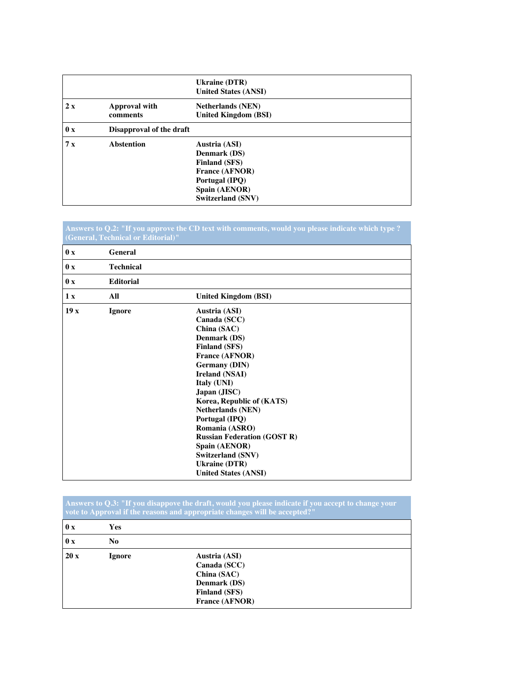|                     |                                  | <b>Ukraine (DTR)</b><br><b>United States (ANSI)</b>                                                                                           |
|---------------------|----------------------------------|-----------------------------------------------------------------------------------------------------------------------------------------------|
| 2x                  | <b>Approval with</b><br>comments | <b>Netherlands (NEN)</b><br><b>United Kingdom (BSI)</b>                                                                                       |
| $\mathbf{0} \times$ | Disapproval of the draft         |                                                                                                                                               |
| 7x                  | <b>Abstention</b>                | Austria (ASI)<br>Denmark (DS)<br><b>Finland (SFS)</b><br><b>France (AFNOR)</b><br>Portugal (IPQ)<br>Spain (AENOR)<br><b>Switzerland (SNV)</b> |

|                     | (General, Technical or Editorial)" | Answers to Q.2: "If you approve the CD text with comments, would you please indicate which type ?                                                                                                                          |
|---------------------|------------------------------------|----------------------------------------------------------------------------------------------------------------------------------------------------------------------------------------------------------------------------|
| $\mathbf{0} \times$ | General                            |                                                                                                                                                                                                                            |
| $\mathbf{0} \times$ | <b>Technical</b>                   |                                                                                                                                                                                                                            |
| $\mathbf{0} \times$ | <b>Editorial</b>                   |                                                                                                                                                                                                                            |
| 1 x                 | All                                | <b>United Kingdom (BSI)</b>                                                                                                                                                                                                |
| 19x                 | <b>Ignore</b>                      | Austria (ASI)<br>Canada (SCC)<br>China (SAC)<br>Denmark (DS)<br><b>Finland (SFS)</b><br><b>France (AFNOR)</b><br><b>Germany (DIN)</b><br><b>Ireland (NSAI)</b><br>Italy (UNI)<br>Japan (JISC)<br>Korea, Republic of (KATS) |
|                     |                                    | <b>Netherlands (NEN)</b><br>Portugal (IPQ)<br>Romania (ASRO)<br><b>Russian Federation (GOST R)</b><br>Spain (AENOR)<br><b>Switzerland (SNV)</b><br><b>Ukraine (DTR)</b><br><b>United States (ANSI)</b>                     |

|                     |                | Answers to Q.3: "If you disappove the draft, would you please indicate if you accept to change your<br>vote to Approval if the reasons and appropriate changes will be accepted?" |
|---------------------|----------------|-----------------------------------------------------------------------------------------------------------------------------------------------------------------------------------|
| $\mathbf{0} \times$ | <b>Yes</b>     |                                                                                                                                                                                   |
| $\mathbf{0} \times$ | N <sub>0</sub> |                                                                                                                                                                                   |
| 20x                 | <b>Ignore</b>  | Austria (ASI)<br>Canada (SCC)<br>China (SAC)<br>Denmark (DS)<br><b>Finland (SFS)</b><br><b>France (AFNOR)</b>                                                                     |